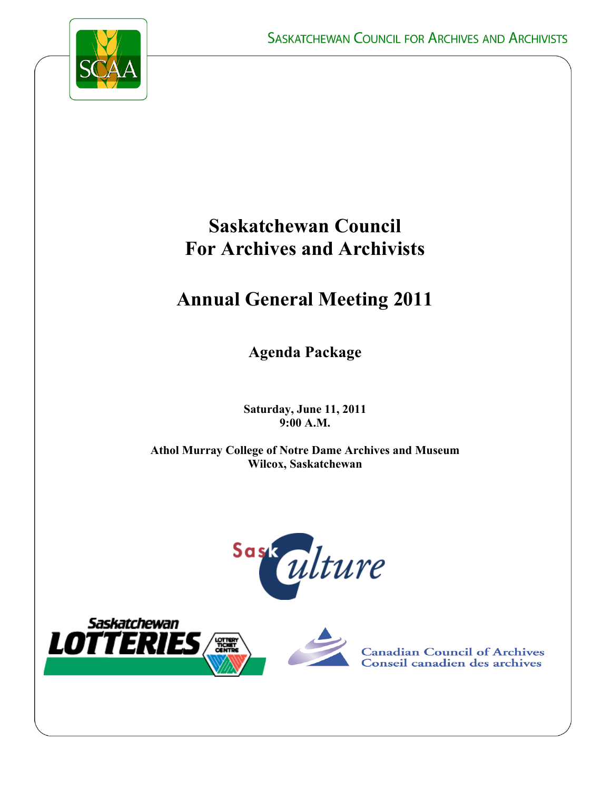

# **Saskatchewan Council For Archives and Archivists**

# **Annual General Meeting 2011**

**Agenda Package**

**Saturday, June 11, 2011 9:00 A.M.**

**Athol Murray College of Notre Dame Archives and Museum Wilcox, Saskatchewan**







**Canadian Council of Archives** Conseil canadien des archives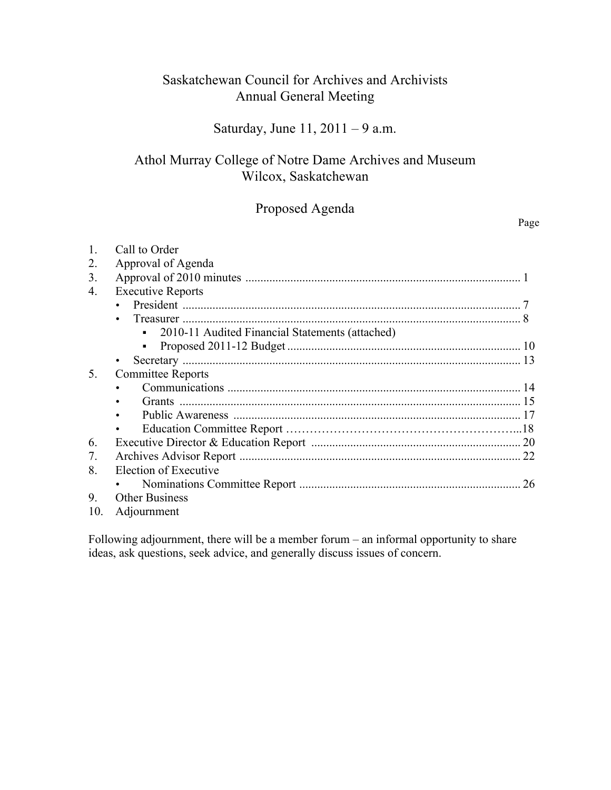# Saskatchewan Council for Archives and Archivists Annual General Meeting

# Saturday, June 11, 2011 – 9 a.m.

# Athol Murray College of Notre Dame Archives and Museum Wilcox, Saskatchewan

# Proposed Agenda

Page

|     | Call to Order                                     |    |  |  |
|-----|---------------------------------------------------|----|--|--|
|     | Approval of Agenda                                |    |  |  |
| 3.  |                                                   |    |  |  |
| 4.  | <b>Executive Reports</b>                          |    |  |  |
|     |                                                   |    |  |  |
|     |                                                   |    |  |  |
|     | • 2010-11 Audited Financial Statements (attached) |    |  |  |
|     |                                                   |    |  |  |
|     |                                                   |    |  |  |
| 5.  | <b>Committee Reports</b>                          |    |  |  |
|     |                                                   |    |  |  |
|     |                                                   |    |  |  |
|     |                                                   |    |  |  |
|     |                                                   |    |  |  |
| 6.  |                                                   |    |  |  |
| 7.  |                                                   |    |  |  |
| 8.  | Election of Executive                             |    |  |  |
|     |                                                   | 26 |  |  |
| 9.  | <b>Other Business</b>                             |    |  |  |
| 10. | Adjournment                                       |    |  |  |

Following adjournment, there will be a member forum – an informal opportunity to share ideas, ask questions, seek advice, and generally discuss issues of concern.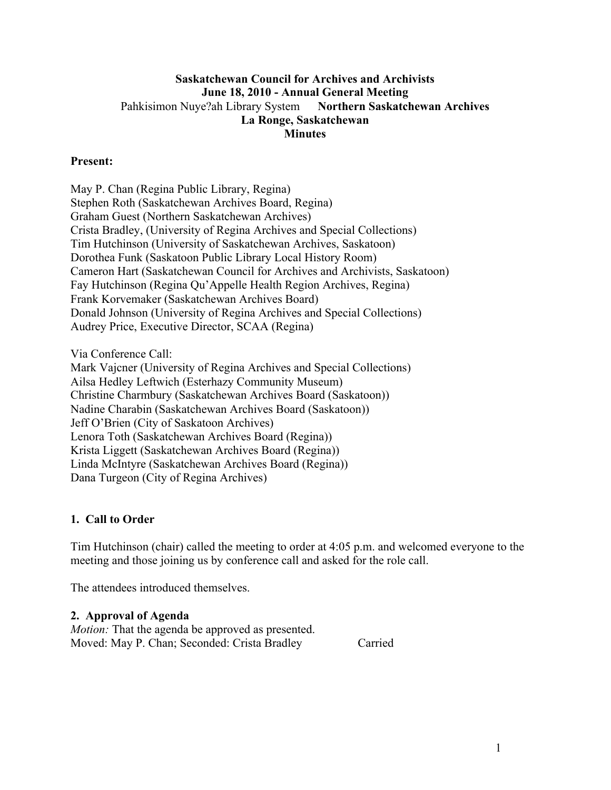# **Saskatchewan Council for Archives and Archivists June 18, 2010 - Annual General Meeting** Pahkisimon Nuye?ah Library System **Northern Saskatchewan Archives La Ronge, Saskatchewan Minutes**

## **Present:**

May P. Chan (Regina Public Library, Regina) Stephen Roth (Saskatchewan Archives Board, Regina) Graham Guest (Northern Saskatchewan Archives) Crista Bradley, (University of Regina Archives and Special Collections) Tim Hutchinson (University of Saskatchewan Archives, Saskatoon) Dorothea Funk (Saskatoon Public Library Local History Room) Cameron Hart (Saskatchewan Council for Archives and Archivists, Saskatoon) Fay Hutchinson (Regina Qu'Appelle Health Region Archives, Regina) Frank Korvemaker (Saskatchewan Archives Board) Donald Johnson (University of Regina Archives and Special Collections) Audrey Price, Executive Director, SCAA (Regina)

Via Conference Call:

Mark Vajcner (University of Regina Archives and Special Collections) Ailsa Hedley Leftwich (Esterhazy Community Museum) Christine Charmbury (Saskatchewan Archives Board (Saskatoon)) Nadine Charabin (Saskatchewan Archives Board (Saskatoon)) Jeff O'Brien (City of Saskatoon Archives) Lenora Toth (Saskatchewan Archives Board (Regina)) Krista Liggett (Saskatchewan Archives Board (Regina)) Linda McIntyre (Saskatchewan Archives Board (Regina)) Dana Turgeon (City of Regina Archives)

#### **1. Call to Order**

Tim Hutchinson (chair) called the meeting to order at 4:05 p.m. and welcomed everyone to the meeting and those joining us by conference call and asked for the role call.

The attendees introduced themselves.

#### **2. Approval of Agenda**

*Motion:* That the agenda be approved as presented. Moved: May P. Chan; Seconded: Crista Bradley Carried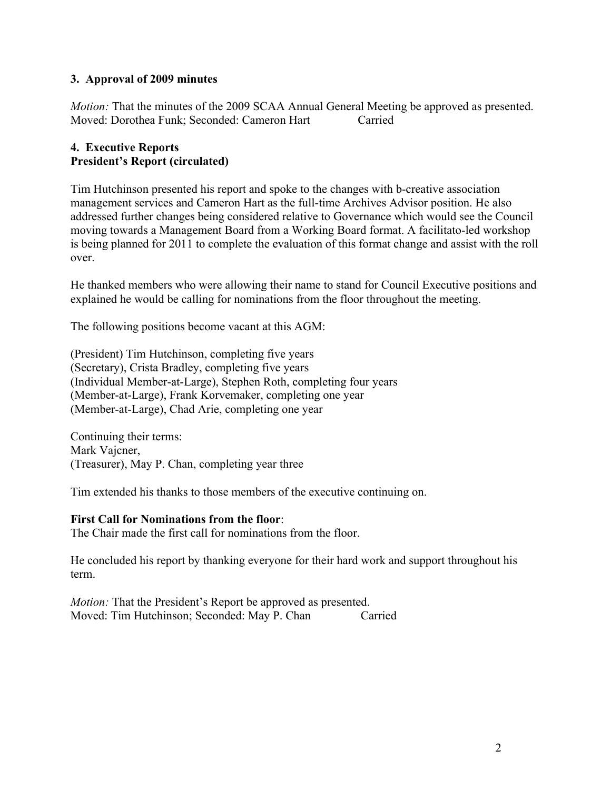# **3. Approval of 2009 minutes**

*Motion:* That the minutes of the 2009 SCAA Annual General Meeting be approved as presented. Moved: Dorothea Funk; Seconded: Cameron Hart Carried

# **4. Executive Reports President's Report (circulated)**

Tim Hutchinson presented his report and spoke to the changes with b-creative association management services and Cameron Hart as the full-time Archives Advisor position. He also addressed further changes being considered relative to Governance which would see the Council moving towards a Management Board from a Working Board format. A facilitato-led workshop is being planned for 2011 to complete the evaluation of this format change and assist with the roll over.

He thanked members who were allowing their name to stand for Council Executive positions and explained he would be calling for nominations from the floor throughout the meeting.

The following positions become vacant at this AGM:

(President) Tim Hutchinson, completing five years (Secretary), Crista Bradley, completing five years (Individual Member-at-Large), Stephen Roth, completing four years (Member-at-Large), Frank Korvemaker, completing one year (Member-at-Large), Chad Arie, completing one year

Continuing their terms: Mark Vajcner, (Treasurer), May P. Chan, completing year three

Tim extended his thanks to those members of the executive continuing on.

#### **First Call for Nominations from the floor**:

The Chair made the first call for nominations from the floor.

He concluded his report by thanking everyone for their hard work and support throughout his term.

*Motion:* That the President's Report be approved as presented. Moved: Tim Hutchinson; Seconded: May P. Chan Carried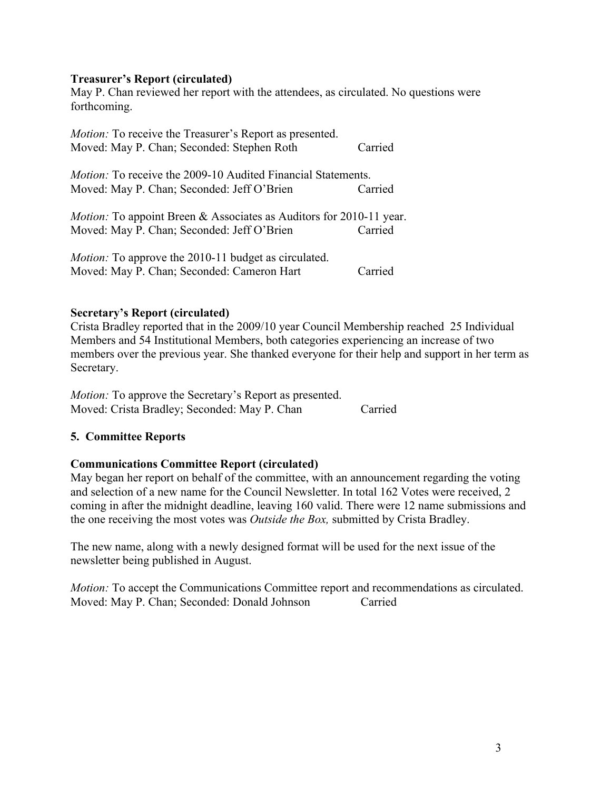#### **Treasurer's Report (circulated)**

May P. Chan reviewed her report with the attendees, as circulated. No questions were forthcoming.

| <i>Motion:</i> To receive the Treasurer's Report as presented.<br>Moved: May P. Chan; Seconded: Stephen Roth             | Carried |
|--------------------------------------------------------------------------------------------------------------------------|---------|
| <i>Motion:</i> To receive the 2009-10 Audited Financial Statements.                                                      |         |
| Moved: May P. Chan; Seconded: Jeff O'Brien                                                                               | Carried |
| <i>Motion:</i> To appoint Breen & Associates as Auditors for 2010-11 year.<br>Moved: May P. Chan; Seconded: Jeff O'Brien | Carried |
|                                                                                                                          |         |
| <i>Motion:</i> To approve the 2010-11 budget as circulated.                                                              |         |
| Moved: May P. Chan; Seconded: Cameron Hart                                                                               | Carried |

#### **Secretary's Report (circulated)**

Crista Bradley reported that in the 2009/10 year Council Membership reached 25 Individual Members and 54 Institutional Members, both categories experiencing an increase of two members over the previous year. She thanked everyone for their help and support in her term as Secretary.

*Motion:* To approve the Secretary's Report as presented. Moved: Crista Bradley; Seconded: May P. Chan Carried

#### **5. Committee Reports**

#### **Communications Committee Report (circulated)**

May began her report on behalf of the committee, with an announcement regarding the voting and selection of a new name for the Council Newsletter. In total 162 Votes were received, 2 coming in after the midnight deadline, leaving 160 valid. There were 12 name submissions and the one receiving the most votes was *Outside the Box,* submitted by Crista Bradley.

The new name, along with a newly designed format will be used for the next issue of the newsletter being published in August.

*Motion:* To accept the Communications Committee report and recommendations as circulated. Moved: May P. Chan; Seconded: Donald Johnson Carried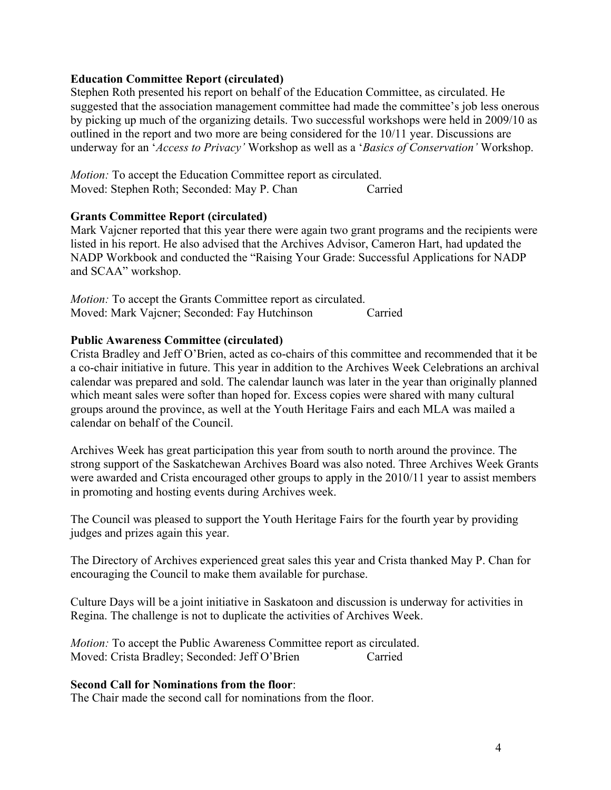#### **Education Committee Report (circulated)**

Stephen Roth presented his report on behalf of the Education Committee, as circulated. He suggested that the association management committee had made the committee's job less onerous by picking up much of the organizing details. Two successful workshops were held in 2009/10 as outlined in the report and two more are being considered for the 10/11 year. Discussions are underway for an '*Access to Privacy'* Workshop as well as a '*Basics of Conservation'* Workshop.

*Motion:* To accept the Education Committee report as circulated. Moved: Stephen Roth; Seconded: May P. Chan Carried

#### **Grants Committee Report (circulated)**

Mark Vajcner reported that this year there were again two grant programs and the recipients were listed in his report. He also advised that the Archives Advisor, Cameron Hart, had updated the NADP Workbook and conducted the "Raising Your Grade: Successful Applications for NADP and SCAA" workshop.

*Motion:* To accept the Grants Committee report as circulated. Moved: Mark Vajcner; Seconded: Fay Hutchinson Carried

#### **Public Awareness Committee (circulated)**

Crista Bradley and Jeff O'Brien, acted as co-chairs of this committee and recommended that it be a co-chair initiative in future. This year in addition to the Archives Week Celebrations an archival calendar was prepared and sold. The calendar launch was later in the year than originally planned which meant sales were softer than hoped for. Excess copies were shared with many cultural groups around the province, as well at the Youth Heritage Fairs and each MLA was mailed a calendar on behalf of the Council.

Archives Week has great participation this year from south to north around the province. The strong support of the Saskatchewan Archives Board was also noted. Three Archives Week Grants were awarded and Crista encouraged other groups to apply in the 2010/11 year to assist members in promoting and hosting events during Archives week.

The Council was pleased to support the Youth Heritage Fairs for the fourth year by providing judges and prizes again this year.

The Directory of Archives experienced great sales this year and Crista thanked May P. Chan for encouraging the Council to make them available for purchase.

Culture Days will be a joint initiative in Saskatoon and discussion is underway for activities in Regina. The challenge is not to duplicate the activities of Archives Week.

*Motion:* To accept the Public Awareness Committee report as circulated. Moved: Crista Bradley; Seconded: Jeff O'Brien Carried

#### **Second Call for Nominations from the floor**:

The Chair made the second call for nominations from the floor.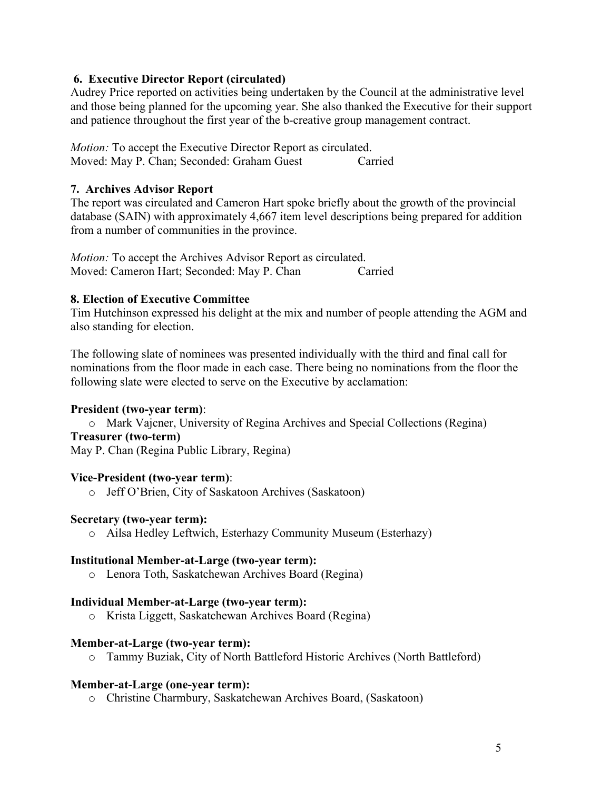#### **6. Executive Director Report (circulated)**

Audrey Price reported on activities being undertaken by the Council at the administrative level and those being planned for the upcoming year. She also thanked the Executive for their support and patience throughout the first year of the b-creative group management contract.

*Motion:* To accept the Executive Director Report as circulated. Moved: May P. Chan; Seconded: Graham Guest Carried

## **7. Archives Advisor Report**

The report was circulated and Cameron Hart spoke briefly about the growth of the provincial database (SAIN) with approximately 4,667 item level descriptions being prepared for addition from a number of communities in the province.

*Motion:* To accept the Archives Advisor Report as circulated. Moved: Cameron Hart; Seconded: May P. Chan Carried

#### **8. Election of Executive Committee**

Tim Hutchinson expressed his delight at the mix and number of people attending the AGM and also standing for election.

The following slate of nominees was presented individually with the third and final call for nominations from the floor made in each case. There being no nominations from the floor the following slate were elected to serve on the Executive by acclamation:

# **President (two-year term)**:

o Mark Vajcner, University of Regina Archives and Special Collections (Regina) **Treasurer (two-term)**

May P. Chan (Regina Public Library, Regina)

#### **Vice-President (two-year term)**:

o Jeff O'Brien, City of Saskatoon Archives (Saskatoon)

#### **Secretary (two-year term):**

o Ailsa Hedley Leftwich, Esterhazy Community Museum (Esterhazy)

#### **Institutional Member-at-Large (two-year term):**

o Lenora Toth, Saskatchewan Archives Board (Regina)

#### **Individual Member-at-Large (two-year term):**

o Krista Liggett, Saskatchewan Archives Board (Regina)

#### **Member-at-Large (two-year term):**

o Tammy Buziak, City of North Battleford Historic Archives (North Battleford)

#### **Member-at-Large (one-year term):**

o Christine Charmbury, Saskatchewan Archives Board, (Saskatoon)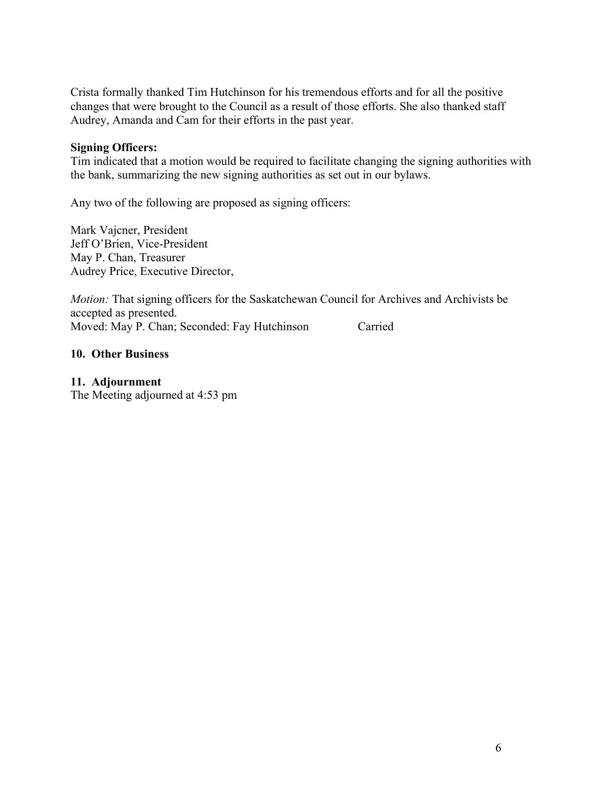Crista formally thanked Tim Hutchinson for his tremendous efforts and for all the positive changes that were brought to the Council as a result of those efforts. She also thanked staff Audrey, Amanda and Cam for their efforts in the past year.

#### **Signing Officers:**

Tim indicated that a motion would be required to facilitate changing the signing authorities with the bank, summarizing the new signing authorities as set out in our bylaws.

Any two of the following are proposed as signing officers:

Mark Vajcner, President Jeff O'Brien, Vice-President May P. Chan, Treasurer Audrey Price, Executive Director,

*Motion:* That signing officers for the Saskatchewan Council for Archives and Archivists be accepted as presented. Moved: May P. Chan; Seconded: Fay Hutchinson Carried

#### **10. Other Business**

#### **11. Adjournment**

The Meeting adjourned at 4:53 pm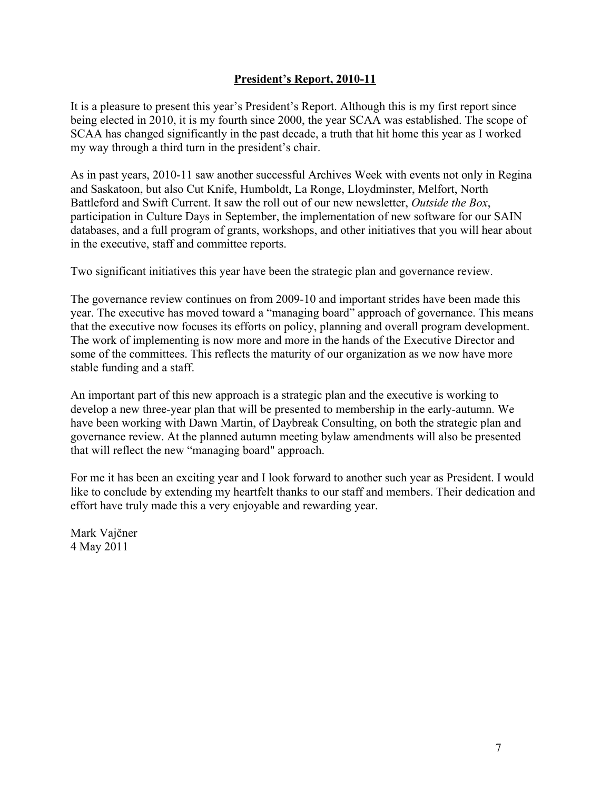# **President's Report, 2010-11**

It is a pleasure to present this year's President's Report. Although this is my first report since being elected in 2010, it is my fourth since 2000, the year SCAA was established. The scope of SCAA has changed significantly in the past decade, a truth that hit home this year as I worked my way through a third turn in the president's chair.

As in past years, 2010-11 saw another successful Archives Week with events not only in Regina and Saskatoon, but also Cut Knife, Humboldt, La Ronge, Lloydminster, Melfort, North Battleford and Swift Current. It saw the roll out of our new newsletter, *Outside the Box*, participation in Culture Days in September, the implementation of new software for our SAIN databases, and a full program of grants, workshops, and other initiatives that you will hear about in the executive, staff and committee reports.

Two significant initiatives this year have been the strategic plan and governance review.

The governance review continues on from 2009-10 and important strides have been made this year. The executive has moved toward a "managing board" approach of governance. This means that the executive now focuses its efforts on policy, planning and overall program development. The work of implementing is now more and more in the hands of the Executive Director and some of the committees. This reflects the maturity of our organization as we now have more stable funding and a staff.

An important part of this new approach is a strategic plan and the executive is working to develop a new three-year plan that will be presented to membership in the early-autumn. We have been working with Dawn Martin, of Daybreak Consulting, on both the strategic plan and governance review. At the planned autumn meeting bylaw amendments will also be presented that will reflect the new "managing board" approach.

For me it has been an exciting year and I look forward to another such year as President. I would like to conclude by extending my heartfelt thanks to our staff and members. Their dedication and effort have truly made this a very enjoyable and rewarding year.

Mark Vajčner 4 May 2011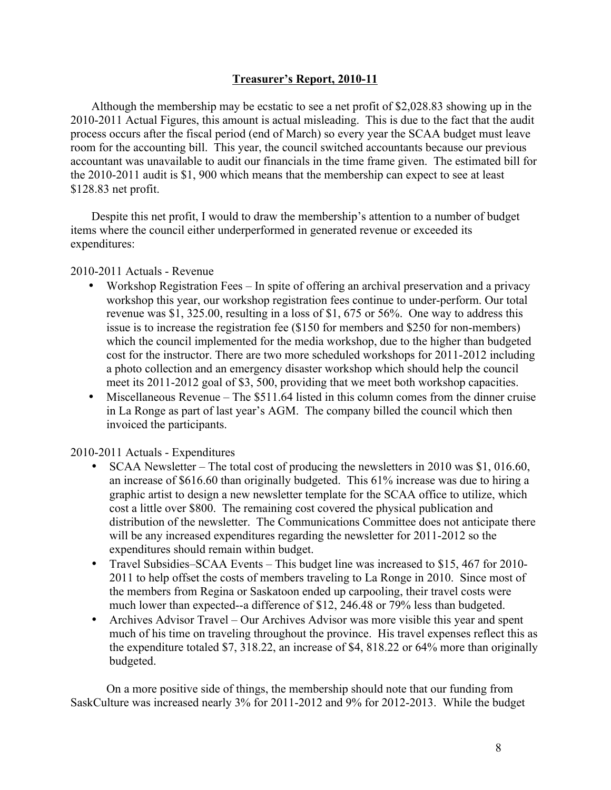#### **Treasurer's Report, 2010-11**

Although the membership may be ecstatic to see a net profit of \$2,028.83 showing up in the 2010-2011 Actual Figures, this amount is actual misleading. This is due to the fact that the audit process occurs after the fiscal period (end of March) so every year the SCAA budget must leave room for the accounting bill. This year, the council switched accountants because our previous accountant was unavailable to audit our financials in the time frame given. The estimated bill for the 2010-2011 audit is \$1, 900 which means that the membership can expect to see at least \$128.83 net profit.

Despite this net profit, I would to draw the membership's attention to a number of budget items where the council either underperformed in generated revenue or exceeded its expenditures:

#### 2010-2011 Actuals - Revenue

- Workshop Registration Fees In spite of offering an archival preservation and a privacy workshop this year, our workshop registration fees continue to under-perform. Our total revenue was \$1, 325.00, resulting in a loss of \$1, 675 or 56%. One way to address this issue is to increase the registration fee (\$150 for members and \$250 for non-members) which the council implemented for the media workshop, due to the higher than budgeted cost for the instructor. There are two more scheduled workshops for 2011-2012 including a photo collection and an emergency disaster workshop which should help the council meet its 2011-2012 goal of \$3, 500, providing that we meet both workshop capacities.
- Miscellaneous Revenue The \$511.64 listed in this column comes from the dinner cruise in La Ronge as part of last year's AGM. The company billed the council which then invoiced the participants.

#### 2010-2011 Actuals - Expenditures

- SCAA Newsletter The total cost of producing the newsletters in 2010 was \$1,016.60, an increase of \$616.60 than originally budgeted. This 61% increase was due to hiring a graphic artist to design a new newsletter template for the SCAA office to utilize, which cost a little over \$800. The remaining cost covered the physical publication and distribution of the newsletter. The Communications Committee does not anticipate there will be any increased expenditures regarding the newsletter for 2011-2012 so the expenditures should remain within budget.
- Travel Subsidies–SCAA Events This budget line was increased to \$15, 467 for 2010- 2011 to help offset the costs of members traveling to La Ronge in 2010. Since most of the members from Regina or Saskatoon ended up carpooling, their travel costs were much lower than expected--a difference of \$12, 246.48 or 79% less than budgeted.
- Archives Advisor Travel Our Archives Advisor was more visible this year and spent much of his time on traveling throughout the province. His travel expenses reflect this as the expenditure totaled \$7, 318.22, an increase of \$4, 818.22 or 64% more than originally budgeted.

On a more positive side of things, the membership should note that our funding from SaskCulture was increased nearly 3% for 2011-2012 and 9% for 2012-2013. While the budget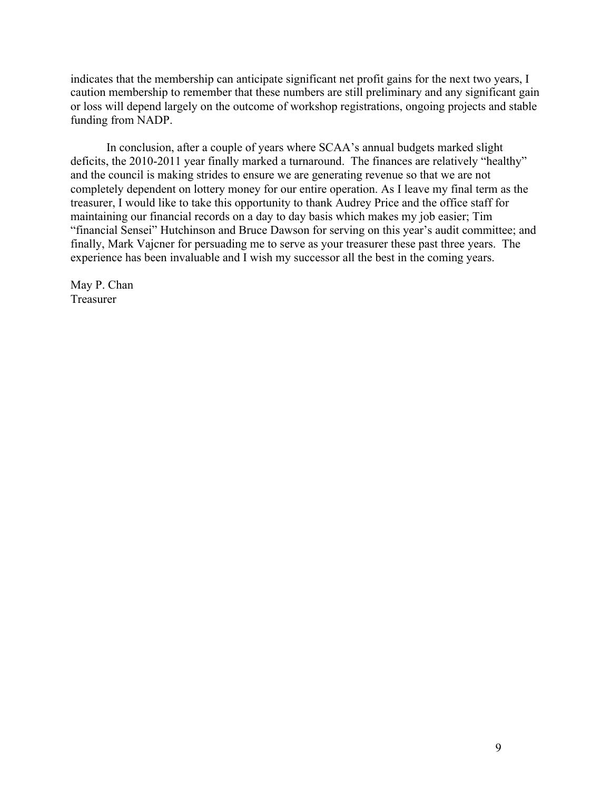indicates that the membership can anticipate significant net profit gains for the next two years, I caution membership to remember that these numbers are still preliminary and any significant gain or loss will depend largely on the outcome of workshop registrations, ongoing projects and stable funding from NADP.

In conclusion, after a couple of years where SCAA's annual budgets marked slight deficits, the 2010-2011 year finally marked a turnaround. The finances are relatively "healthy" and the council is making strides to ensure we are generating revenue so that we are not completely dependent on lottery money for our entire operation. As I leave my final term as the treasurer, I would like to take this opportunity to thank Audrey Price and the office staff for maintaining our financial records on a day to day basis which makes my job easier; Tim "financial Sensei" Hutchinson and Bruce Dawson for serving on this year's audit committee; and finally, Mark Vajcner for persuading me to serve as your treasurer these past three years. The experience has been invaluable and I wish my successor all the best in the coming years.

May P. Chan Treasurer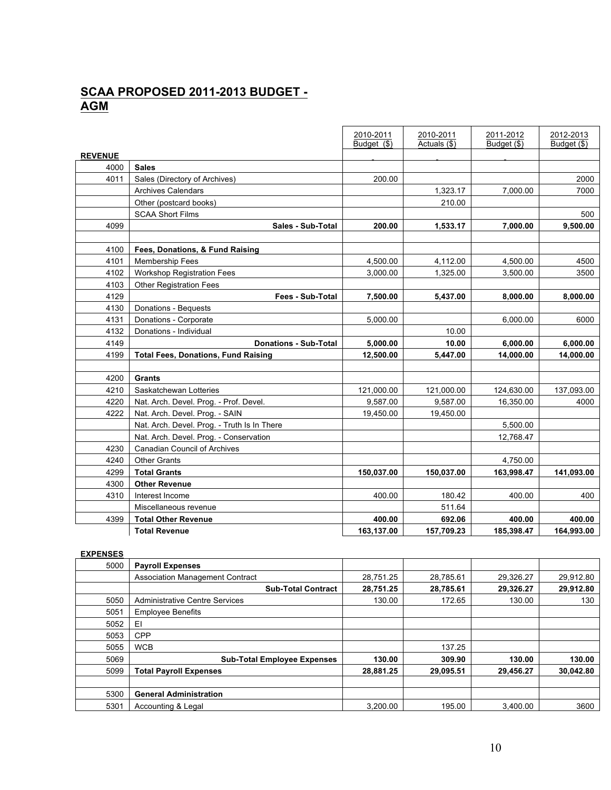# **SCAA PROPOSED 2011-2013 BUDGET - AGM**

|                |                                             | 2010-2011   | 2010-2011    | 2011-2012   | 2012-2013   |
|----------------|---------------------------------------------|-------------|--------------|-------------|-------------|
| <b>REVENUE</b> |                                             | Budget (\$) | Actuals (\$) | Budget (\$) | Budget (\$) |
| 4000           | <b>Sales</b>                                |             |              |             |             |
| 4011           | Sales (Directory of Archives)               | 200.00      |              |             | 2000        |
|                | <b>Archives Calendars</b>                   |             | 1,323.17     | 7,000.00    | 7000        |
|                | Other (postcard books)                      |             | 210.00       |             |             |
|                | <b>SCAA Short Films</b>                     |             |              |             | 500         |
| 4099           | Sales - Sub-Total                           | 200.00      | 1,533.17     | 7,000.00    | 9,500.00    |
|                |                                             |             |              |             |             |
| 4100           | Fees, Donations, & Fund Raising             |             |              |             |             |
| 4101           | <b>Membership Fees</b>                      | 4,500.00    | 4,112.00     | 4,500.00    | 4500        |
| 4102           | <b>Workshop Registration Fees</b>           | 3,000.00    | 1,325.00     | 3,500.00    | 3500        |
| 4103           | <b>Other Registration Fees</b>              |             |              |             |             |
| 4129           | Fees - Sub-Total                            | 7,500.00    | 5,437.00     | 8,000.00    | 8,000.00    |
| 4130           | Donations - Bequests                        |             |              |             |             |
| 4131           | Donations - Corporate                       | 5,000.00    |              | 6,000.00    | 6000        |
| 4132           | Donations - Individual                      |             | 10.00        |             |             |
| 4149           | <b>Donations - Sub-Total</b>                | 5,000.00    | 10.00        | 6,000.00    | 6,000.00    |
| 4199           | <b>Total Fees, Donations, Fund Raising</b>  | 12,500.00   | 5,447.00     | 14,000.00   | 14,000.00   |
|                |                                             |             |              |             |             |
| 4200           | Grants                                      |             |              |             |             |
| 4210           | Saskatchewan Lotteries                      | 121,000.00  | 121,000.00   | 124,630.00  | 137,093.00  |
| 4220           | Nat. Arch. Devel. Prog. - Prof. Devel.      | 9,587.00    | 9,587.00     | 16,350.00   | 4000        |
| 4222           | Nat. Arch. Devel. Prog. - SAIN              | 19,450.00   | 19,450.00    |             |             |
|                | Nat. Arch. Devel. Prog. - Truth Is In There |             |              | 5,500.00    |             |
|                | Nat. Arch. Devel. Prog. - Conservation      |             |              | 12,768.47   |             |
| 4230           | <b>Canadian Council of Archives</b>         |             |              |             |             |
| 4240           | <b>Other Grants</b>                         |             |              | 4,750.00    |             |
| 4299           | <b>Total Grants</b>                         | 150,037.00  | 150,037.00   | 163,998.47  | 141,093.00  |
| 4300           | <b>Other Revenue</b>                        |             |              |             |             |
| 4310           | Interest Income                             | 400.00      | 180.42       | 400.00      | 400         |
|                | Miscellaneous revenue                       |             | 511.64       |             |             |
| 4399           | <b>Total Other Revenue</b>                  | 400.00      | 692.06       | 400.00      | 400.00      |
|                | <b>Total Revenue</b>                        | 163,137.00  | 157,709.23   | 185,398.47  | 164,993.00  |

| <b>EXPENSE</b> |  |
|----------------|--|
|                |  |

| 5000 | <b>Payroll Expenses</b>                |           |           |           |           |
|------|----------------------------------------|-----------|-----------|-----------|-----------|
|      | <b>Association Management Contract</b> | 28,751.25 | 28,785.61 | 29.326.27 | 29,912.80 |
|      | <b>Sub-Total Contract</b>              | 28,751.25 | 28,785.61 | 29,326.27 | 29,912.80 |
| 5050 | <b>Administrative Centre Services</b>  | 130.00    | 172.65    | 130.00    | 130       |
| 5051 | <b>Employee Benefits</b>               |           |           |           |           |
| 5052 | EI                                     |           |           |           |           |
| 5053 | <b>CPP</b>                             |           |           |           |           |
| 5055 | <b>WCB</b>                             |           | 137.25    |           |           |
| 5069 | <b>Sub-Total Employee Expenses</b>     | 130.00    | 309.90    | 130.00    | 130.00    |
| 5099 | <b>Total Payroll Expenses</b>          | 28.881.25 | 29.095.51 | 29.456.27 | 30.042.80 |
|      |                                        |           |           |           |           |
| 5300 | <b>General Administration</b>          |           |           |           |           |
| 5301 | Accounting & Legal                     | 3.200.00  | 195.00    | 3.400.00  | 3600      |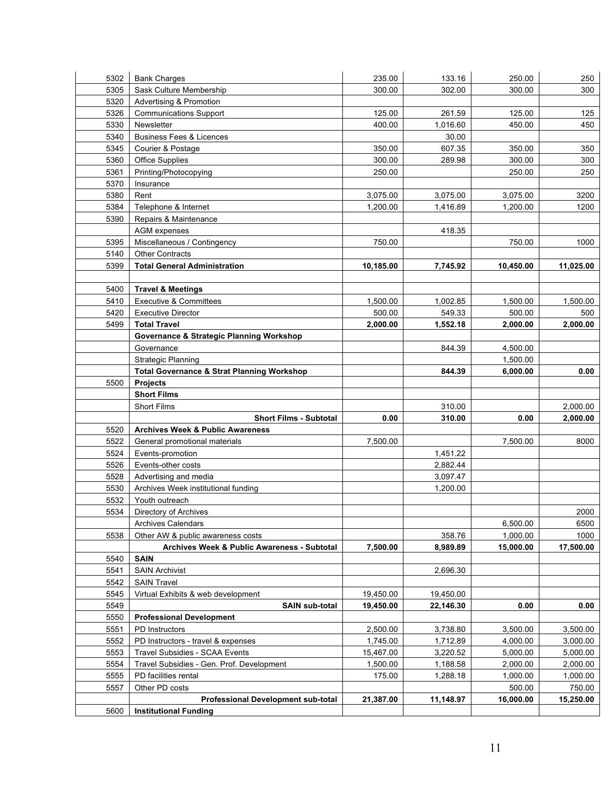| 5302 | <b>Bank Charges</b>                                   | 235.00    | 133.16    | 250.00    | 250       |
|------|-------------------------------------------------------|-----------|-----------|-----------|-----------|
| 5305 | Sask Culture Membership                               | 300.00    | 302.00    | 300.00    | 300       |
| 5320 | Advertising & Promotion                               |           |           |           |           |
| 5326 | <b>Communications Support</b>                         | 125.00    | 261.59    | 125.00    | 125       |
| 5330 | Newsletter                                            | 400.00    | 1,016.60  | 450.00    | 450       |
| 5340 | <b>Business Fees &amp; Licences</b>                   |           | 30.00     |           |           |
| 5345 | Courier & Postage                                     | 350.00    | 607.35    | 350.00    | 350       |
| 5360 | <b>Office Supplies</b>                                | 300.00    | 289.98    | 300.00    | 300       |
| 5361 | Printing/Photocopying                                 | 250.00    |           | 250.00    | 250       |
| 5370 | Insurance                                             |           |           |           |           |
| 5380 | Rent                                                  | 3,075.00  | 3,075.00  | 3,075.00  | 3200      |
| 5384 | Telephone & Internet                                  | 1,200.00  | 1,416.89  | 1,200.00  | 1200      |
| 5390 | Repairs & Maintenance                                 |           |           |           |           |
|      | AGM expenses                                          |           | 418.35    |           |           |
| 5395 | Miscellaneous / Contingency                           | 750.00    |           | 750.00    | 1000      |
| 5140 | <b>Other Contracts</b>                                |           |           |           |           |
| 5399 | <b>Total General Administration</b>                   | 10,185.00 | 7,745.92  | 10,450.00 | 11,025.00 |
|      |                                                       |           |           |           |           |
| 5400 | <b>Travel &amp; Meetings</b>                          |           |           |           |           |
| 5410 | <b>Executive &amp; Committees</b>                     | 1,500.00  | 1,002.85  | 1,500.00  | 1,500.00  |
| 5420 | <b>Executive Director</b>                             | 500.00    | 549.33    | 500.00    | 500       |
| 5499 | <b>Total Travel</b>                                   | 2,000.00  | 1,552.18  | 2,000.00  | 2,000.00  |
|      | Governance & Strategic Planning Workshop              |           |           |           |           |
|      | Governance                                            |           | 844.39    | 4,500.00  |           |
|      | Strategic Planning                                    |           |           | 1,500.00  |           |
|      | <b>Total Governance &amp; Strat Planning Workshop</b> |           | 844.39    | 6,000.00  | 0.00      |
| 5500 | <b>Projects</b>                                       |           |           |           |           |
|      | <b>Short Films</b>                                    |           |           |           |           |
|      | <b>Short Films</b>                                    |           | 310.00    |           | 2,000.00  |
|      | <b>Short Films - Subtotal</b>                         | 0.00      | 310.00    | 0.00      | 2,000.00  |
| 5520 | <b>Archives Week &amp; Public Awareness</b>           |           |           |           |           |
| 5522 | General promotional materials                         | 7,500.00  |           | 7,500.00  | 8000      |
| 5524 | Events-promotion                                      |           | 1,451.22  |           |           |
| 5526 | Events-other costs                                    |           | 2,882.44  |           |           |
| 5528 | Advertising and media                                 |           | 3,097.47  |           |           |
| 5530 | Archives Week institutional funding                   |           | 1,200.00  |           |           |
| 5532 | Youth outreach                                        |           |           |           |           |
| 5534 | Directory of Archives                                 |           |           |           | 2000      |
|      | <b>Archives Calendars</b>                             |           |           | 6,500.00  | 6500      |
| 5538 | Other AW & public awareness costs                     |           | 358.76    | 1,000.00  | 1000      |
|      | Archives Week & Public Awareness - Subtotal           | 7,500.00  | 8,989.89  | 15,000.00 | 17,500.00 |
| 5540 | <b>SAIN</b>                                           |           |           |           |           |
| 5541 | <b>SAIN Archivist</b>                                 |           | 2,696.30  |           |           |
| 5542 | <b>SAIN Travel</b>                                    |           |           |           |           |
| 5545 | Virtual Exhibits & web development                    | 19,450.00 | 19,450.00 |           |           |
| 5549 | <b>SAIN sub-total</b>                                 | 19,450.00 | 22,146.30 | 0.00      | 0.00      |
| 5550 | <b>Professional Development</b>                       |           |           |           |           |
| 5551 | PD Instructors                                        | 2,500.00  | 3,738.80  | 3,500.00  | 3,500.00  |
| 5552 | PD Instructors - travel & expenses                    | 1,745.00  | 1,712.89  | 4,000.00  | 3,000.00  |
| 5553 | Travel Subsidies - SCAA Events                        | 15,467.00 | 3,220.52  | 5,000.00  | 5,000.00  |
| 5554 | Travel Subsidies - Gen. Prof. Development             | 1,500.00  | 1,188.58  | 2,000.00  | 2,000.00  |
| 5555 | PD facilities rental                                  | 175.00    | 1,288.18  | 1,000.00  | 1,000.00  |
| 5557 | Other PD costs                                        |           |           | 500.00    | 750.00    |
|      | <b>Professional Development sub-total</b>             | 21,387.00 | 11,148.97 | 16,000.00 | 15,250.00 |
| 5600 | <b>Institutional Funding</b>                          |           |           |           |           |
|      |                                                       |           |           |           |           |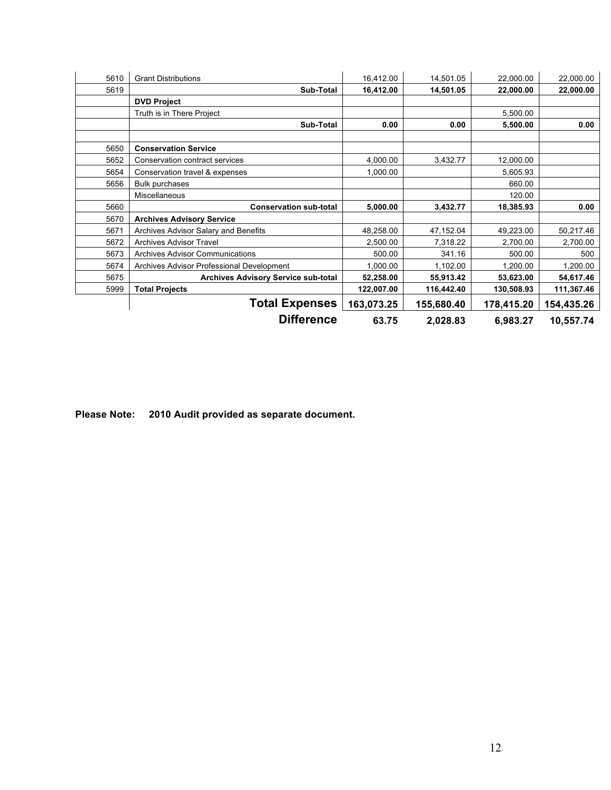| 5610 | <b>Grant Distributions</b>                 | 16,412.00  | 14,501.05  | 22,000.00  | 22,000.00  |
|------|--------------------------------------------|------------|------------|------------|------------|
| 5619 | Sub-Total                                  | 16,412.00  | 14,501.05  | 22,000.00  | 22,000.00  |
|      | <b>DVD Project</b>                         |            |            |            |            |
|      | Truth is in There Project                  |            |            | 5,500.00   |            |
|      | Sub-Total                                  | 0.00       | 0.00       | 5,500.00   | 0.00       |
|      |                                            |            |            |            |            |
| 5650 | <b>Conservation Service</b>                |            |            |            |            |
| 5652 | Conservation contract services             | 4,000.00   | 3,432.77   | 12,000.00  |            |
| 5654 | Conservation travel & expenses             | 1,000.00   |            | 5,605.93   |            |
| 5656 | <b>Bulk purchases</b>                      |            |            | 660.00     |            |
|      | Miscellaneous                              |            |            | 120.00     |            |
| 5660 | <b>Conservation sub-total</b>              | 5,000.00   | 3,432.77   | 18,385.93  | 0.00       |
| 5670 | <b>Archives Advisory Service</b>           |            |            |            |            |
| 5671 | Archives Advisor Salary and Benefits       | 48,258.00  | 47,152.04  | 49,223.00  | 50,217.46  |
| 5672 | Archives Advisor Travel                    | 2,500.00   | 7,318.22   | 2,700.00   | 2,700.00   |
| 5673 | <b>Archives Advisor Communications</b>     | 500.00     | 341.16     | 500.00     | 500        |
| 5674 | Archives Advisor Professional Development  | 1,000.00   | 1,102.00   | 1,200.00   | 1,200.00   |
| 5675 | <b>Archives Advisory Service sub-total</b> | 52,258.00  | 55,913.42  | 53,623.00  | 54,617.46  |
| 5999 | <b>Total Projects</b>                      | 122,007.00 | 116,442.40 | 130,508.93 | 111,367.46 |
|      | <b>Total Expenses</b>                      | 163,073.25 | 155,680.40 | 178,415.20 | 154,435.26 |
|      | <b>Difference</b>                          | 63.75      | 2,028.83   | 6,983.27   | 10,557.74  |

**Please Note: 2010 Audit provided as separate document.**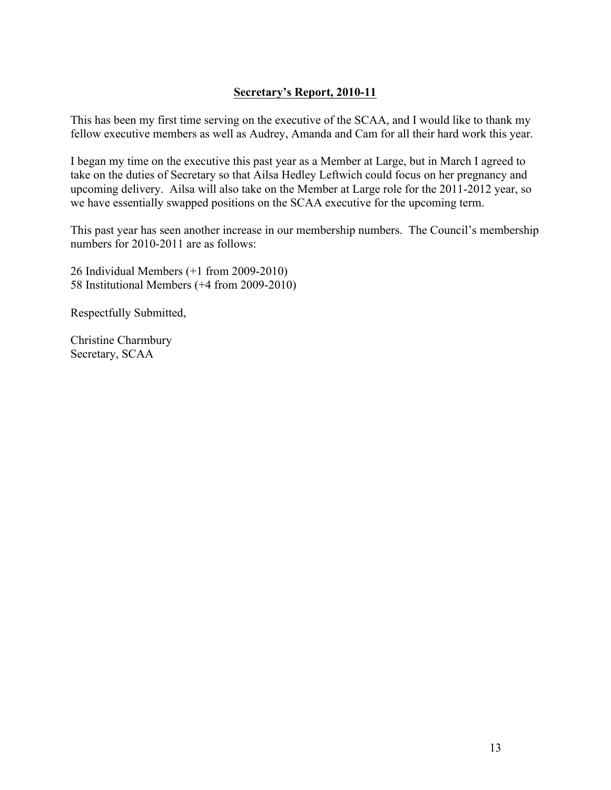# **Secretary's Report, 2010-11**

This has been my first time serving on the executive of the SCAA, and I would like to thank my fellow executive members as well as Audrey, Amanda and Cam for all their hard work this year.

I began my time on the executive this past year as a Member at Large, but in March I agreed to take on the duties of Secretary so that Ailsa Hedley Leftwich could focus on her pregnancy and upcoming delivery. Ailsa will also take on the Member at Large role for the 2011-2012 year, so we have essentially swapped positions on the SCAA executive for the upcoming term.

This past year has seen another increase in our membership numbers. The Council's membership numbers for 2010-2011 are as follows:

26 Individual Members (+1 from 2009-2010) 58 Institutional Members (+4 from 2009-2010)

Respectfully Submitted,

Christine Charmbury Secretary, SCAA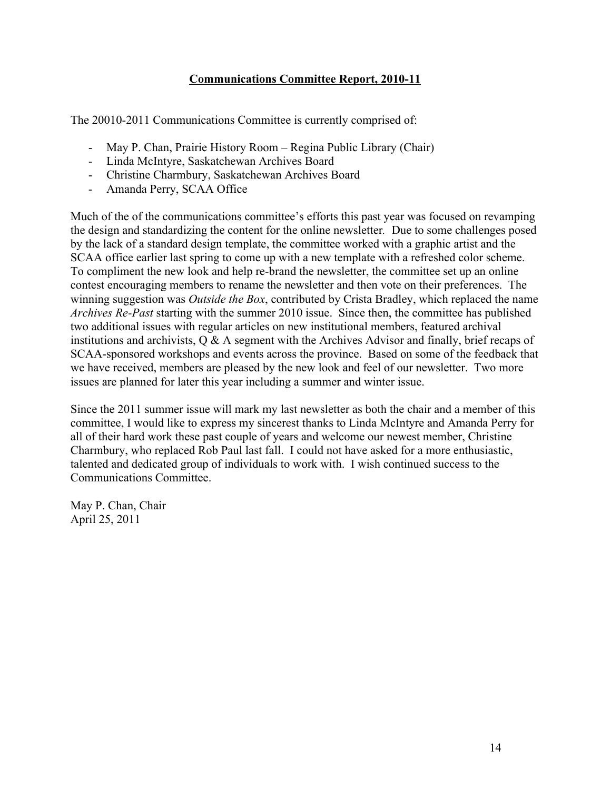# **Communications Committee Report, 2010-11**

The 20010-2011 Communications Committee is currently comprised of:

- May P. Chan, Prairie History Room Regina Public Library (Chair)
- Linda McIntyre, Saskatchewan Archives Board
- Christine Charmbury, Saskatchewan Archives Board
- Amanda Perry, SCAA Office

Much of the of the communications committee's efforts this past year was focused on revamping the design and standardizing the content for the online newsletter*.* Due to some challenges posed by the lack of a standard design template, the committee worked with a graphic artist and the SCAA office earlier last spring to come up with a new template with a refreshed color scheme. To compliment the new look and help re-brand the newsletter, the committee set up an online contest encouraging members to rename the newsletter and then vote on their preferences. The winning suggestion was *Outside the Box*, contributed by Crista Bradley, which replaced the name *Archives Re-Past* starting with the summer 2010 issue. Since then, the committee has published two additional issues with regular articles on new institutional members, featured archival institutions and archivists, Q & A segment with the Archives Advisor and finally, brief recaps of SCAA-sponsored workshops and events across the province. Based on some of the feedback that we have received, members are pleased by the new look and feel of our newsletter. Two more issues are planned for later this year including a summer and winter issue.

Since the 2011 summer issue will mark my last newsletter as both the chair and a member of this committee, I would like to express my sincerest thanks to Linda McIntyre and Amanda Perry for all of their hard work these past couple of years and welcome our newest member, Christine Charmbury, who replaced Rob Paul last fall. I could not have asked for a more enthusiastic, talented and dedicated group of individuals to work with. I wish continued success to the Communications Committee.

May P. Chan, Chair April 25, 2011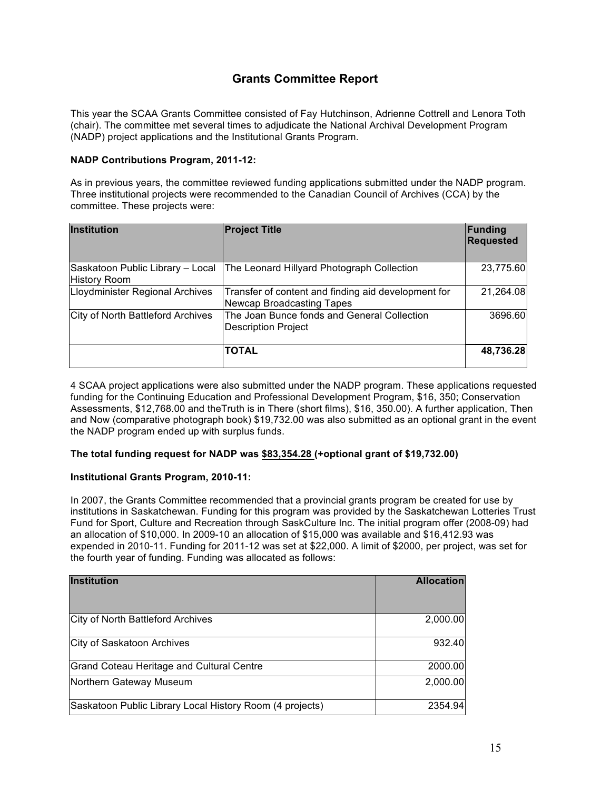# **Grants Committee Report**

This year the SCAA Grants Committee consisted of Fay Hutchinson, Adrienne Cottrell and Lenora Toth (chair). The committee met several times to adjudicate the National Archival Development Program (NADP) project applications and the Institutional Grants Program.

#### **NADP Contributions Program, 2011-12:**

As in previous years, the committee reviewed funding applications submitted under the NADP program. Three institutional projects were recommended to the Canadian Council of Archives (CCA) by the committee. These projects were:

| <b>Institution</b>                                      | <b>Project Title</b>                                                                    | Funding<br><b>Requested</b> |
|---------------------------------------------------------|-----------------------------------------------------------------------------------------|-----------------------------|
| Saskatoon Public Library - Local<br><b>History Room</b> | The Leonard Hillyard Photograph Collection                                              | 23,775.60                   |
| Lloydminister Regional Archives                         | Transfer of content and finding aid development for<br><b>Newcap Broadcasting Tapes</b> | 21,264.08                   |
| City of North Battleford Archives                       | The Joan Bunce fonds and General Collection<br><b>Description Project</b>               | 3696.60                     |
|                                                         | <b>TOTAL</b>                                                                            | 48,736.28                   |

4 SCAA project applications were also submitted under the NADP program. These applications requested funding for the Continuing Education and Professional Development Program, \$16, 350; Conservation Assessments, \$12,768.00 and theTruth is in There (short films), \$16, 350.00). A further application, Then and Now (comparative photograph book) \$19,732.00 was also submitted as an optional grant in the event the NADP program ended up with surplus funds.

#### **The total funding request for NADP was \$83,354.28 (+optional grant of \$19,732.00)**

#### **Institutional Grants Program, 2010-11:**

In 2007, the Grants Committee recommended that a provincial grants program be created for use by institutions in Saskatchewan. Funding for this program was provided by the Saskatchewan Lotteries Trust Fund for Sport, Culture and Recreation through SaskCulture Inc. The initial program offer (2008-09) had an allocation of \$10,000. In 2009-10 an allocation of \$15,000 was available and \$16,412.93 was expended in 2010-11. Funding for 2011-12 was set at \$22,000. A limit of \$2000, per project, was set for the fourth year of funding. Funding was allocated as follows:

| <b>Institution</b>                                       | <b>Allocation</b> |
|----------------------------------------------------------|-------------------|
|                                                          |                   |
| City of North Battleford Archives                        | 2,000.00          |
| City of Saskatoon Archives                               | 932.40            |
| Grand Coteau Heritage and Cultural Centre                | 2000.00           |
| Northern Gateway Museum                                  | 2,000.00          |
| Saskatoon Public Library Local History Room (4 projects) | 2354.94           |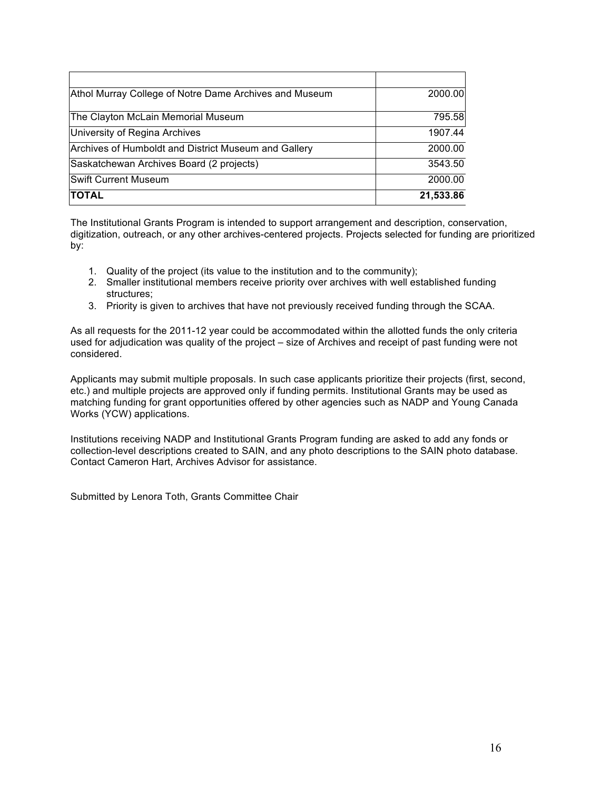| Athol Murray College of Notre Dame Archives and Museum | 2000.00   |
|--------------------------------------------------------|-----------|
| The Clayton McLain Memorial Museum                     | 795.58    |
| University of Regina Archives                          | 1907.44   |
| Archives of Humboldt and District Museum and Gallery   | 2000.00   |
| Saskatchewan Archives Board (2 projects)               | 3543.50   |
| <b>Swift Current Museum</b>                            | 2000.00   |
| <b>TOTAL</b>                                           | 21,533.86 |

The Institutional Grants Program is intended to support arrangement and description, conservation, digitization, outreach, or any other archives-centered projects. Projects selected for funding are prioritized by:

- 1. Quality of the project (its value to the institution and to the community);
- 2. Smaller institutional members receive priority over archives with well established funding structures;
- 3. Priority is given to archives that have not previously received funding through the SCAA.

As all requests for the 2011-12 year could be accommodated within the allotted funds the only criteria used for adjudication was quality of the project – size of Archives and receipt of past funding were not considered.

Applicants may submit multiple proposals. In such case applicants prioritize their projects (first, second, etc.) and multiple projects are approved only if funding permits. Institutional Grants may be used as matching funding for grant opportunities offered by other agencies such as NADP and Young Canada Works (YCW) applications.

Institutions receiving NADP and Institutional Grants Program funding are asked to add any fonds or collection-level descriptions created to SAIN, and any photo descriptions to the SAIN photo database. Contact Cameron Hart, Archives Advisor for assistance.

Submitted by Lenora Toth, Grants Committee Chair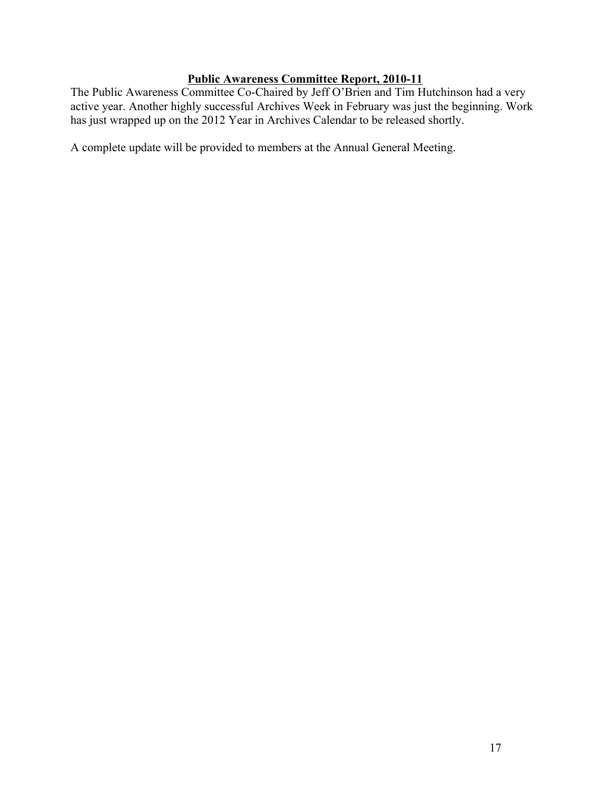# **Public Awareness Committee Report, 2010-11**

The Public Awareness Committee Co-Chaired by Jeff O'Brien and Tim Hutchinson had a very active year. Another highly successful Archives Week in February was just the beginning. Work has just wrapped up on the 2012 Year in Archives Calendar to be released shortly.

A complete update will be provided to members at the Annual General Meeting.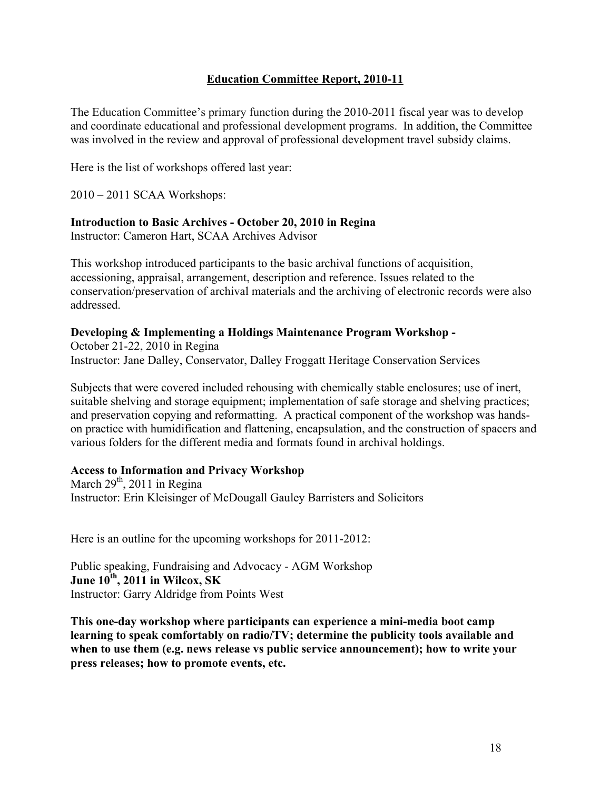# **Education Committee Report, 2010-11**

The Education Committee's primary function during the 2010-2011 fiscal year was to develop and coordinate educational and professional development programs. In addition, the Committee was involved in the review and approval of professional development travel subsidy claims.

Here is the list of workshops offered last year:

2010 – 2011 SCAA Workshops:

#### **Introduction to Basic Archives - October 20, 2010 in Regina**

Instructor: Cameron Hart, SCAA Archives Advisor

This workshop introduced participants to the basic archival functions of acquisition, accessioning, appraisal, arrangement, description and reference. Issues related to the conservation/preservation of archival materials and the archiving of electronic records were also addressed.

#### **Developing & Implementing a Holdings Maintenance Program Workshop -**

October 21-22, 2010 in Regina Instructor: Jane Dalley, Conservator, Dalley Froggatt Heritage Conservation Services

Subjects that were covered included rehousing with chemically stable enclosures; use of inert, suitable shelving and storage equipment; implementation of safe storage and shelving practices; and preservation copying and reformatting. A practical component of the workshop was handson practice with humidification and flattening, encapsulation, and the construction of spacers and various folders for the different media and formats found in archival holdings.

#### **Access to Information and Privacy Workshop**

March  $29<sup>th</sup>$ , 2011 in Regina Instructor: Erin Kleisinger of McDougall Gauley Barristers and Solicitors

Here is an outline for the upcoming workshops for 2011-2012:

Public speaking, Fundraising and Advocacy - AGM Workshop **June 10th , 2011 in Wilcox, SK**  Instructor: Garry Aldridge from Points West

**This one-day workshop where participants can experience a mini-media boot camp learning to speak comfortably on radio/TV; determine the publicity tools available and when to use them (e.g. news release vs public service announcement); how to write your press releases; how to promote events, etc.**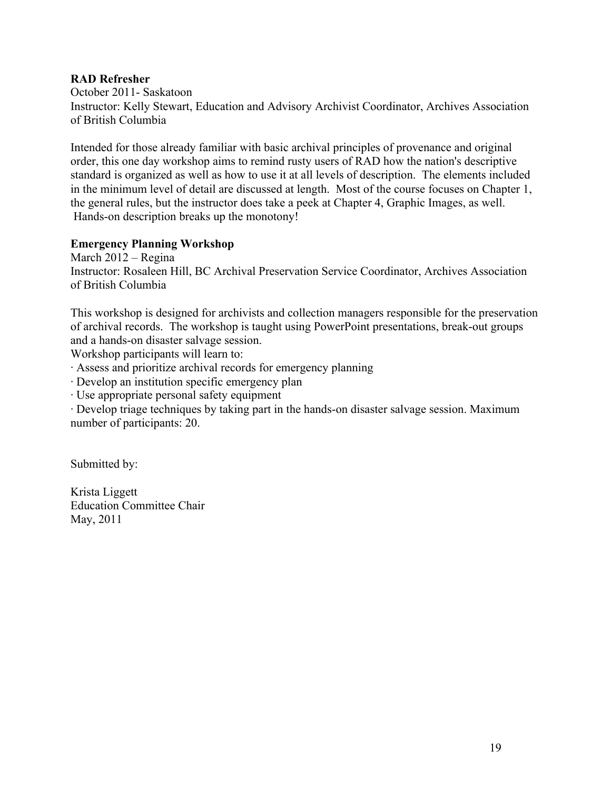#### **RAD Refresher**

October 2011- Saskatoon Instructor: Kelly Stewart, Education and Advisory Archivist Coordinator, Archives Association of British Columbia

Intended for those already familiar with basic archival principles of provenance and original order, this one day workshop aims to remind rusty users of RAD how the nation's descriptive standard is organized as well as how to use it at all levels of description. The elements included in the minimum level of detail are discussed at length. Most of the course focuses on Chapter 1, the general rules, but the instructor does take a peek at Chapter 4, Graphic Images, as well. Hands-on description breaks up the monotony!

#### **Emergency Planning Workshop**

March 2012 – Regina Instructor: Rosaleen Hill, BC Archival Preservation Service Coordinator, Archives Association of British Columbia

This workshop is designed for archivists and collection managers responsible for the preservation of archival records. The workshop is taught using PowerPoint presentations, break-out groups and a hands-on disaster salvage session.

Workshop participants will learn to:

· Assess and prioritize archival records for emergency planning

· Develop an institution specific emergency plan

· Use appropriate personal safety equipment

· Develop triage techniques by taking part in the hands-on disaster salvage session. Maximum number of participants: 20.

Submitted by:

Krista Liggett Education Committee Chair May, 2011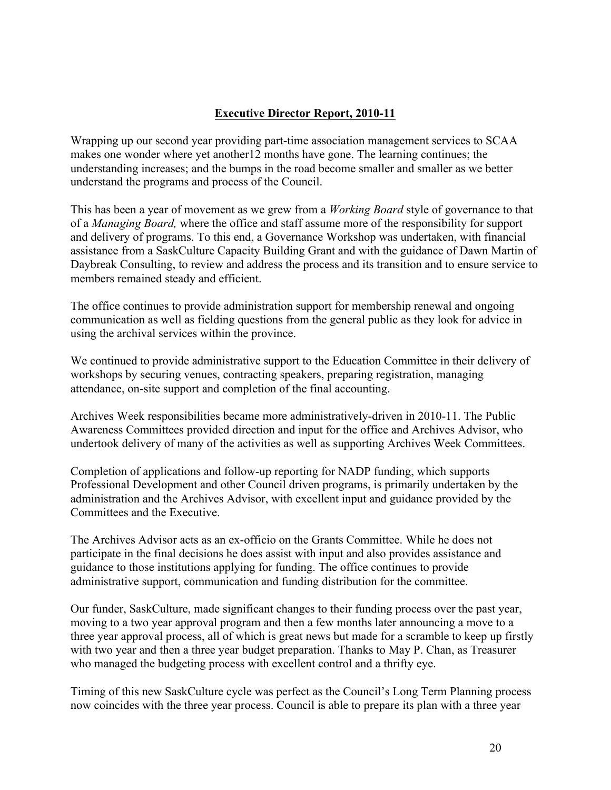# **Executive Director Report, 2010-11**

Wrapping up our second year providing part-time association management services to SCAA makes one wonder where yet another12 months have gone. The learning continues; the understanding increases; and the bumps in the road become smaller and smaller as we better understand the programs and process of the Council.

This has been a year of movement as we grew from a *Working Board* style of governance to that of a *Managing Board,* where the office and staff assume more of the responsibility for support and delivery of programs. To this end, a Governance Workshop was undertaken, with financial assistance from a SaskCulture Capacity Building Grant and with the guidance of Dawn Martin of Daybreak Consulting, to review and address the process and its transition and to ensure service to members remained steady and efficient.

The office continues to provide administration support for membership renewal and ongoing communication as well as fielding questions from the general public as they look for advice in using the archival services within the province.

We continued to provide administrative support to the Education Committee in their delivery of workshops by securing venues, contracting speakers, preparing registration, managing attendance, on-site support and completion of the final accounting.

Archives Week responsibilities became more administratively-driven in 2010-11. The Public Awareness Committees provided direction and input for the office and Archives Advisor, who undertook delivery of many of the activities as well as supporting Archives Week Committees.

Completion of applications and follow-up reporting for NADP funding, which supports Professional Development and other Council driven programs, is primarily undertaken by the administration and the Archives Advisor, with excellent input and guidance provided by the Committees and the Executive.

The Archives Advisor acts as an ex-officio on the Grants Committee. While he does not participate in the final decisions he does assist with input and also provides assistance and guidance to those institutions applying for funding. The office continues to provide administrative support, communication and funding distribution for the committee.

Our funder, SaskCulture, made significant changes to their funding process over the past year, moving to a two year approval program and then a few months later announcing a move to a three year approval process, all of which is great news but made for a scramble to keep up firstly with two year and then a three year budget preparation. Thanks to May P. Chan, as Treasurer who managed the budgeting process with excellent control and a thrifty eye.

Timing of this new SaskCulture cycle was perfect as the Council's Long Term Planning process now coincides with the three year process. Council is able to prepare its plan with a three year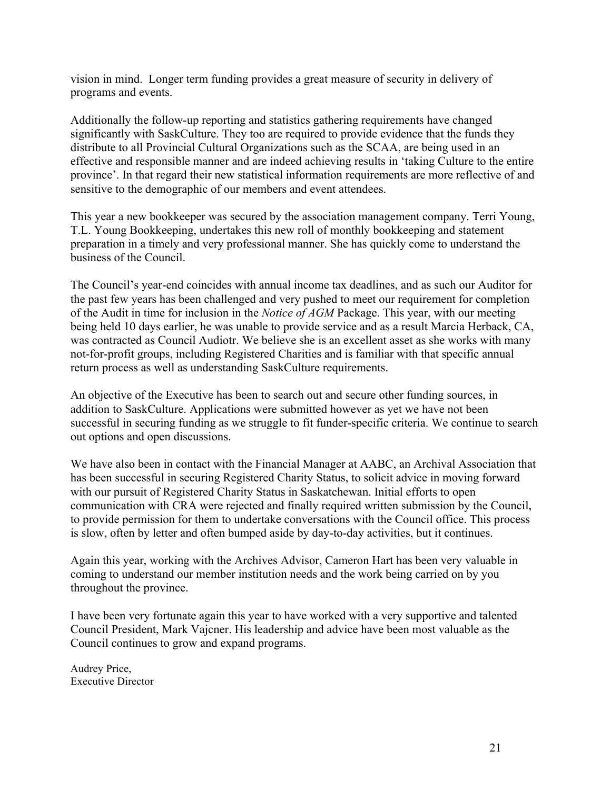vision in mind. Longer term funding provides a great measure of security in delivery of programs and events.

Additionally the follow-up reporting and statistics gathering requirements have changed significantly with SaskCulture. They too are required to provide evidence that the funds they distribute to all Provincial Cultural Organizations such as the SCAA, are being used in an effective and responsible manner and are indeed achieving results in 'taking Culture to the entire province'. In that regard their new statistical information requirements are more reflective of and sensitive to the demographic of our members and event attendees.

This year a new bookkeeper was secured by the association management company. Terri Young, T.L. Young Bookkeeping, undertakes this new roll of monthly bookkeeping and statement preparation in a timely and very professional manner. She has quickly come to understand the business of the Council.

The Council's year-end coincides with annual income tax deadlines, and as such our Auditor for the past few years has been challenged and very pushed to meet our requirement for completion of the Audit in time for inclusion in the *Notice of AGM* Package. This year, with our meeting being held 10 days earlier, he was unable to provide service and as a result Marcia Herback, CA, was contracted as Council Audiotr. We believe she is an excellent asset as she works with many not-for-profit groups, including Registered Charities and is familiar with that specific annual return process as well as understanding SaskCulture requirements.

An objective of the Executive has been to search out and secure other funding sources, in addition to SaskCulture. Applications were submitted however as yet we have not been successful in securing funding as we struggle to fit funder-specific criteria. We continue to search out options and open discussions.

We have also been in contact with the Financial Manager at AABC, an Archival Association that has been successful in securing Registered Charity Status, to solicit advice in moving forward with our pursuit of Registered Charity Status in Saskatchewan. Initial efforts to open communication with CRA were rejected and finally required written submission by the Council, to provide permission for them to undertake conversations with the Council office. This process is slow, often by letter and often bumped aside by day-to-day activities, but it continues.

Again this year, working with the Archives Advisor, Cameron Hart has been very valuable in coming to understand our member institution needs and the work being carried on by you throughout the province.

I have been very fortunate again this year to have worked with a very supportive and talented Council President, Mark Vajcner. His leadership and advice have been most valuable as the Council continues to grow and expand programs.

Audrey Price, Executive Director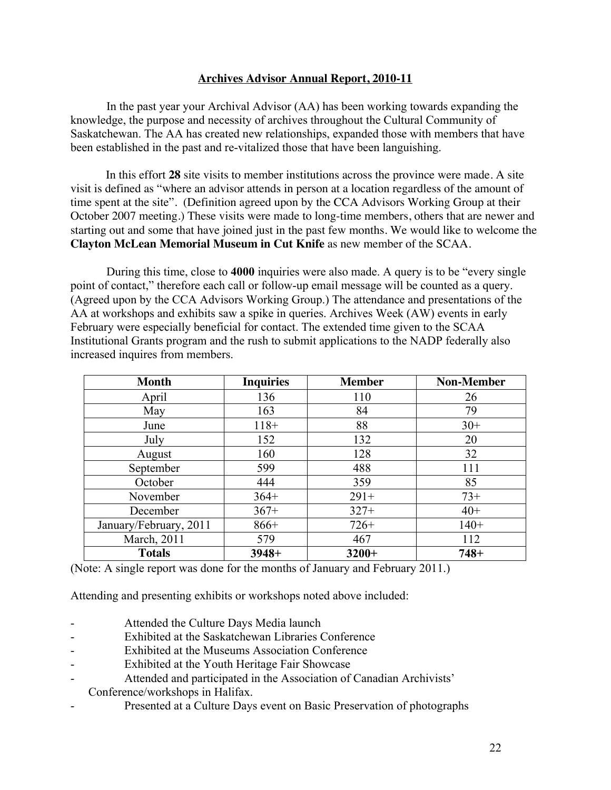#### **Archives Advisor Annual Report, 2010-11**

In the past year your Archival Advisor (AA) has been working towards expanding the knowledge, the purpose and necessity of archives throughout the Cultural Community of Saskatchewan. The AA has created new relationships, expanded those with members that have been established in the past and re-vitalized those that have been languishing.

In this effort **28** site visits to member institutions across the province were made. A site visit is defined as "where an advisor attends in person at a location regardless of the amount of time spent at the site". (Definition agreed upon by the CCA Advisors Working Group at their October 2007 meeting.) These visits were made to long-time members, others that are newer and starting out and some that have joined just in the past few months. We would like to welcome the **Clayton McLean Memorial Museum in Cut Knife** as new member of the SCAA.

During this time, close to **4000** inquiries were also made. A query is to be "every single point of contact," therefore each call or follow-up email message will be counted as a query. (Agreed upon by the CCA Advisors Working Group.) The attendance and presentations of the AA at workshops and exhibits saw a spike in queries. Archives Week (AW) events in early February were especially beneficial for contact. The extended time given to the SCAA Institutional Grants program and the rush to submit applications to the NADP federally also increased inquires from members.

| <b>Month</b>           | <b>Inquiries</b> | <b>Member</b> | <b>Non-Member</b> |
|------------------------|------------------|---------------|-------------------|
| April                  | 136              | 110           | 26                |
| May                    | 163              | 84            | 79                |
| June                   | $118+$           | 88            | $30+$             |
| July                   | 152              | 132           | 20                |
| August                 | 160              | 128           | 32                |
| September              | 599              | 488           | 111               |
| October                | 444              | 359           | 85                |
| November               | $364+$           | $291+$        | $73+$             |
| December               | $367+$           | $327+$        | $40+$             |
| January/February, 2011 | $866+$           | $726+$        | $140+$            |
| March, 2011            | 579              | 467           | 112               |
| <b>Totals</b>          | $3948+$          | $3200+$       | $748+$            |

(Note: A single report was done for the months of January and February 2011.)

Attending and presenting exhibits or workshops noted above included:

- Attended the Culture Days Media launch
- Exhibited at the Saskatchewan Libraries Conference
- Exhibited at the Museums Association Conference
- Exhibited at the Youth Heritage Fair Showcase
- Attended and participated in the Association of Canadian Archivists'
- Conference/workshops in Halifax.
- Presented at a Culture Days event on Basic Preservation of photographs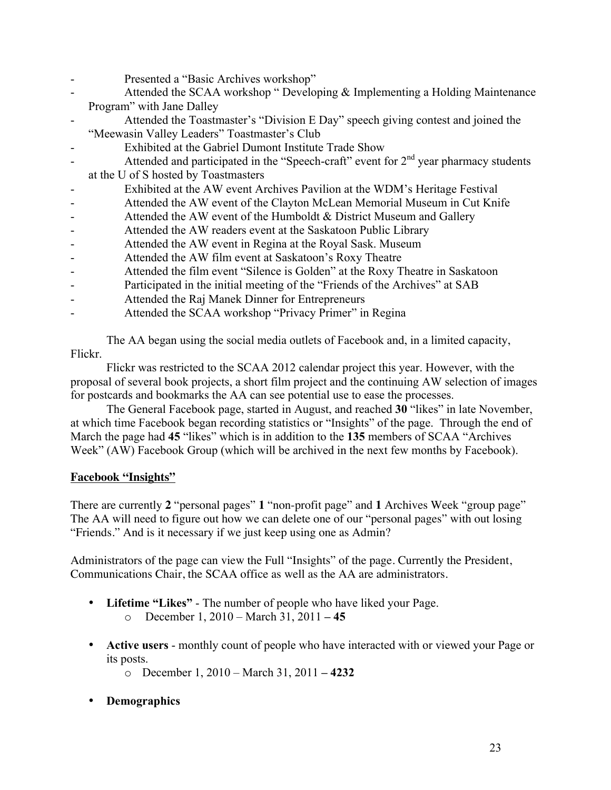- Presented a "Basic Archives workshop"
- Attended the SCAA workshop " Developing & Implementing a Holding Maintenance Program" with Jane Dalley
- Attended the Toastmaster's "Division E Day" speech giving contest and joined the "Meewasin Valley Leaders" Toastmaster's Club
- Exhibited at the Gabriel Dumont Institute Trade Show
- Attended and participated in the "Speech-craft" event for  $2<sup>nd</sup>$  year pharmacy students at the U of S hosted by Toastmasters
- Exhibited at the AW event Archives Pavilion at the WDM's Heritage Festival
- Attended the AW event of the Clayton McLean Memorial Museum in Cut Knife
- Attended the AW event of the Humboldt  $&$  District Museum and Gallery
- Attended the AW readers event at the Saskatoon Public Library
- Attended the AW event in Regina at the Royal Sask. Museum
- Attended the AW film event at Saskatoon's Roxy Theatre
- Attended the film event "Silence is Golden" at the Roxy Theatre in Saskatoon
- Participated in the initial meeting of the "Friends of the Archives" at SAB
- Attended the Raj Manek Dinner for Entrepreneurs
- Attended the SCAA workshop "Privacy Primer" in Regina

The AA began using the social media outlets of Facebook and, in a limited capacity, Flickr.

Flickr was restricted to the SCAA 2012 calendar project this year. However, with the proposal of several book projects, a short film project and the continuing AW selection of images for postcards and bookmarks the AA can see potential use to ease the processes.

The General Facebook page, started in August, and reached **30** "likes" in late November, at which time Facebook began recording statistics or "Insights" of the page. Through the end of March the page had **45** "likes" which is in addition to the **135** members of SCAA "Archives Week" (AW) Facebook Group (which will be archived in the next few months by Facebook).

# **Facebook "Insights"**

There are currently **2** "personal pages" **1** "non-profit page" and **1** Archives Week "group page" The AA will need to figure out how we can delete one of our "personal pages" with out losing "Friends." And is it necessary if we just keep using one as Admin?

Administrators of the page can view the Full "Insights" of the page. Currently the President, Communications Chair, the SCAA office as well as the AA are administrators.

- **Lifetime "Likes"**  The number of people who have liked your Page.
	- o December 1, 2010 March 31, 2011 **– 45**
- **Active users** monthly count of people who have interacted with or viewed your Page or its posts.
	- o December 1, 2010 March 31, 2011 **– 4232**
- **Demographics**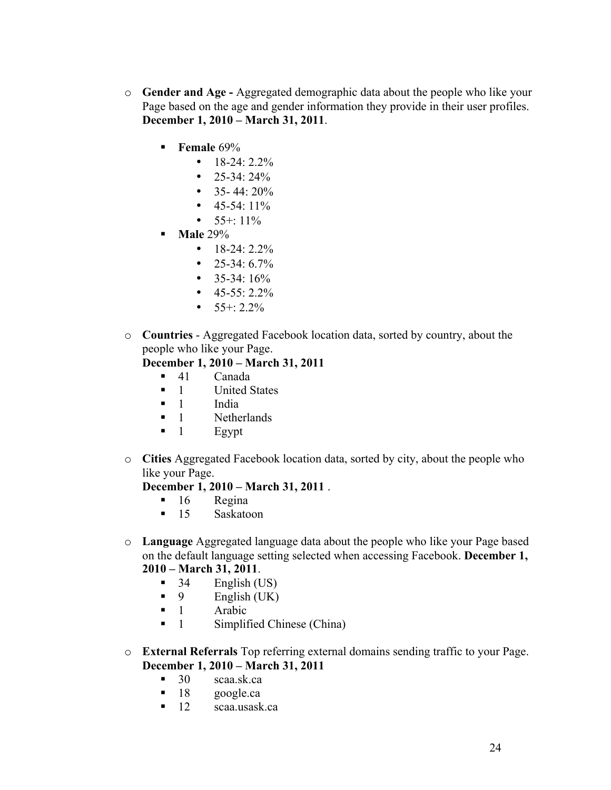- o **Gender and Age -** Aggregated demographic data about the people who like your Page based on the age and gender information they provide in their user profiles. **December 1, 2010 – March 31, 2011**.
	- **Female** 69%
		- $\bullet$  18-24: 2.2%
		- 25-34:  $24\%$
		- 35- 44:  $20\%$
		- $45-54:11\%$
		- $55+:11\%$
	- **Male** 29%
		- $\bullet$  18-24: 2.2%
		- 25-34:  $6.7\%$
		- $35-34:16%$
		- $\bullet$  45-55: 2.2%
		- $55+: 2.2\%$
- o **Countries** Aggregated Facebook location data, sorted by country, about the people who like your Page.

# **December 1, 2010 – March 31, 2011**

- 41 Canada
- 1 United States
- 1 India
- **1** Netherlands
- $\blacksquare$  1 Egypt
- o **Cities** Aggregated Facebook location data, sorted by city, about the people who like your Page.

#### **December 1, 2010 – March 31, 2011** .

- $16$  Regina
- **15** Saskatoon
- o **Language** Aggregated language data about the people who like your Page based on the default language setting selected when accessing Facebook. **December 1, 2010 – March 31, 2011**.
	- $\blacksquare$  34 English (US)
	- $\blacksquare$  9 English (UK)
	- $\blacksquare$  1 Arabic
	- 1 Simplified Chinese (China)
- o **External Referrals** Top referring external domains sending traffic to your Page. **December 1, 2010 – March 31, 2011**
	- 30 scaa.sk.ca
	- **18** google.ca
	- 12 scaa.usask.ca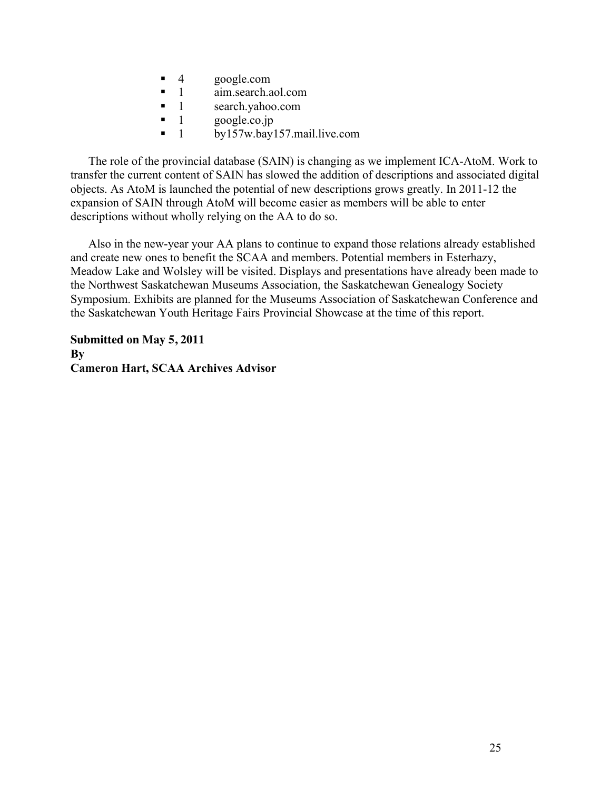- 4 google.com
- 1 aim.search.aol.com
- 1 search.yahoo.com
- $\blacksquare$  1 google.co.jp
- $\blacksquare$  1 by157w.bay157.mail.live.com

The role of the provincial database (SAIN) is changing as we implement ICA-AtoM. Work to transfer the current content of SAIN has slowed the addition of descriptions and associated digital objects. As AtoM is launched the potential of new descriptions grows greatly. In 2011-12 the expansion of SAIN through AtoM will become easier as members will be able to enter descriptions without wholly relying on the AA to do so.

Also in the new-year your AA plans to continue to expand those relations already established and create new ones to benefit the SCAA and members. Potential members in Esterhazy, Meadow Lake and Wolsley will be visited. Displays and presentations have already been made to the Northwest Saskatchewan Museums Association, the Saskatchewan Genealogy Society Symposium. Exhibits are planned for the Museums Association of Saskatchewan Conference and the Saskatchewan Youth Heritage Fairs Provincial Showcase at the time of this report.

**Submitted on May 5, 2011 By Cameron Hart, SCAA Archives Advisor**